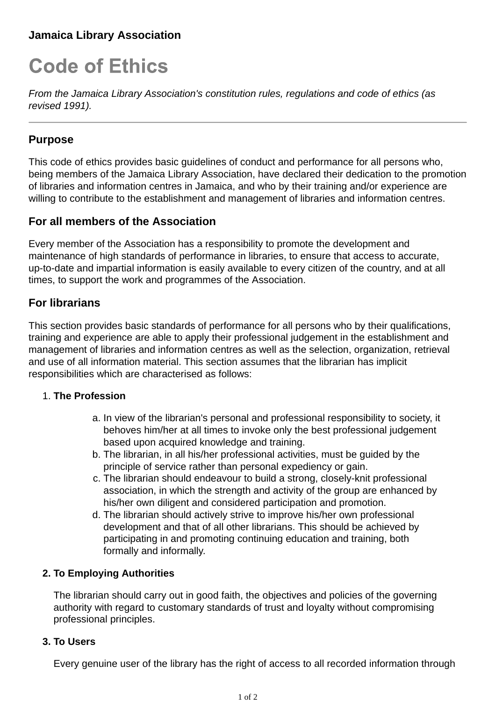# **Jamaica Library Association**

# **Code of Ethics**

*From the Jamaica Library Association's constitution rules, regulations and code of ethics (as revised 1991).*

## **Purpose**

This code of ethics provides basic guidelines of conduct and performance for all persons who, being members of the Jamaica Library Association, have declared their dedication to the promotion of libraries and information centres in Jamaica, and who by their training and/or experience are willing to contribute to the establishment and management of libraries and information centres.

## **For all members of the Association**

Every member of the Association has a responsibility to promote the development and maintenance of high standards of performance in libraries, to ensure that access to accurate, up-to-date and impartial information is easily available to every citizen of the country, and at all times, to support the work and programmes of the Association.

## **For librarians**

This section provides basic standards of performance for all persons who by their qualifications, training and experience are able to apply their professional judgement in the establishment and management of libraries and information centres as well as the selection, organization, retrieval and use of all information material. This section assumes that the librarian has implicit responsibilities which are characterised as follows:

## 1. **The Profession**

- a. In view of the librarian's personal and professional responsibility to society, it behoves him/her at all times to invoke only the best professional judgement based upon acquired knowledge and training.
- The librarian, in all his/her professional activities, must be guided by the b. principle of service rather than personal expediency or gain.
- The librarian should endeavour to build a strong, closely-knit professional c. association, in which the strength and activity of the group are enhanced by his/her own diligent and considered participation and promotion.
- The librarian should actively strive to improve his/her own professional d. development and that of all other librarians. This should be achieved by participating in and promoting continuing education and training, both formally and informally.

## **2. To Employing Authorities**

The librarian should carry out in good faith, the objectives and policies of the governing authority with regard to customary standards of trust and loyalty without compromising professional principles.

## **3. To Users**

Every genuine user of the library has the right of access to all recorded information through